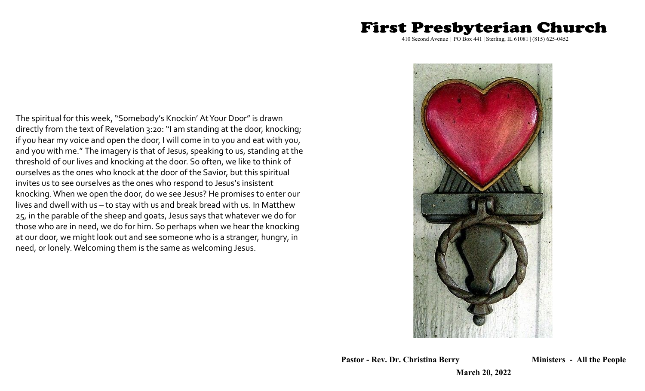# 410 Second Avenue | PO Box 441 | Sterling, IL 61081 | (815) 625-0452

**First Presbyterian Church** 

The spiritual for this week, "Somebody's Knockin' At Your Door" is drawn directly from the text of Revelation 3:20: "I am standing at the door, knocking; if you hear my voice and open the door, I will come in to you and eat with you, and you with me." The imagery is that of Jesus, speaking to us, standing at the threshold of our lives and knocking at the door. So often, we like to think of ourselves as the ones who knock at the door of the Savior, but this spiritual invites us to see ourselves as the ones who respond to Jesus's insistent knocking. When we open the door, do we see Jesus? He promises to enter our lives and dwell with us – to stay with us and break bread with us. In Matthew 25, in the parable of the sheep and goats, Jesus says that whatever we do for those who are in need, we do for him. So perhaps when we hear the knocking at our door, we might look out and see someone who is a stranger, hungry, in need, or lonely. Welcoming them is the same as welcoming Jesus.



**Pastor - Rev. Dr. Christina Berry Ministers - All the People**

**March 20, 2022**